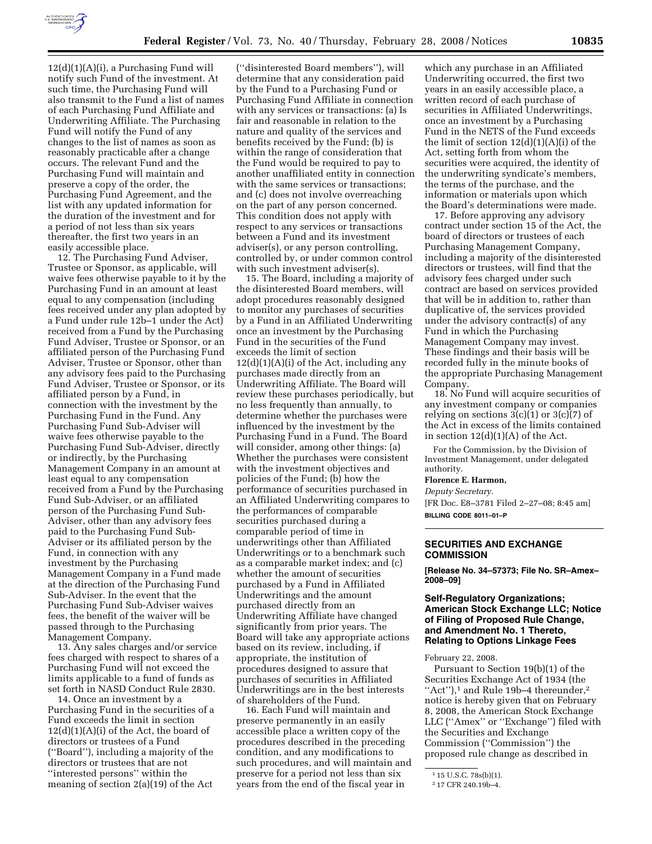

 $12(d)(1)(A)(i)$ , a Purchasing Fund will notify such Fund of the investment. At such time, the Purchasing Fund will also transmit to the Fund a list of names of each Purchasing Fund Affiliate and Underwriting Affiliate. The Purchasing Fund will notify the Fund of any changes to the list of names as soon as reasonably practicable after a change occurs. The relevant Fund and the Purchasing Fund will maintain and preserve a copy of the order, the Purchasing Fund Agreement, and the list with any updated information for the duration of the investment and for a period of not less than six years thereafter, the first two years in an easily accessible place.

12. The Purchasing Fund Adviser, Trustee or Sponsor, as applicable, will waive fees otherwise payable to it by the Purchasing Fund in an amount at least equal to any compensation (including fees received under any plan adopted by a Fund under rule 12b–1 under the Act) received from a Fund by the Purchasing Fund Adviser, Trustee or Sponsor, or an affiliated person of the Purchasing Fund Adviser, Trustee or Sponsor, other than any advisory fees paid to the Purchasing Fund Adviser, Trustee or Sponsor, or its affiliated person by a Fund, in connection with the investment by the Purchasing Fund in the Fund. Any Purchasing Fund Sub-Adviser will waive fees otherwise payable to the Purchasing Fund Sub-Adviser, directly or indirectly, by the Purchasing Management Company in an amount at least equal to any compensation received from a Fund by the Purchasing Fund Sub-Adviser, or an affiliated person of the Purchasing Fund Sub-Adviser, other than any advisory fees paid to the Purchasing Fund Sub-Adviser or its affiliated person by the Fund, in connection with any investment by the Purchasing Management Company in a Fund made at the direction of the Purchasing Fund Sub-Adviser. In the event that the Purchasing Fund Sub-Adviser waives fees, the benefit of the waiver will be passed through to the Purchasing Management Company.

13. Any sales charges and/or service fees charged with respect to shares of a Purchasing Fund will not exceed the limits applicable to a fund of funds as set forth in NASD Conduct Rule 2830.

14. Once an investment by a Purchasing Fund in the securities of a Fund exceeds the limit in section  $12(d)(1)(A)(i)$  of the Act, the board of directors or trustees of a Fund (''Board''), including a majority of the directors or trustees that are not ''interested persons'' within the meaning of section 2(a)(19) of the Act

(''disinterested Board members''), will determine that any consideration paid by the Fund to a Purchasing Fund or Purchasing Fund Affiliate in connection with any services or transactions: (a) Is fair and reasonable in relation to the nature and quality of the services and benefits received by the Fund; (b) is within the range of consideration that the Fund would be required to pay to another unaffiliated entity in connection with the same services or transactions; and (c) does not involve overreaching on the part of any person concerned. This condition does not apply with respect to any services or transactions between a Fund and its investment adviser(s), or any person controlling, controlled by, or under common control with such investment adviser(s).

15. The Board, including a majority of the disinterested Board members, will adopt procedures reasonably designed to monitor any purchases of securities by a Fund in an Affiliated Underwriting once an investment by the Purchasing Fund in the securities of the Fund exceeds the limit of section  $12(d)(1)(A)(i)$  of the Act, including any purchases made directly from an Underwriting Affiliate. The Board will review these purchases periodically, but no less frequently than annually, to determine whether the purchases were influenced by the investment by the Purchasing Fund in a Fund. The Board will consider, among other things: (a) Whether the purchases were consistent with the investment objectives and policies of the Fund; (b) how the performance of securities purchased in an Affiliated Underwriting compares to the performances of comparable securities purchased during a comparable period of time in underwritings other than Affiliated Underwritings or to a benchmark such as a comparable market index; and (c) whether the amount of securities purchased by a Fund in Affiliated Underwritings and the amount purchased directly from an Underwriting Affiliate have changed significantly from prior years. The Board will take any appropriate actions based on its review, including, if appropriate, the institution of procedures designed to assure that purchases of securities in Affiliated Underwritings are in the best interests of shareholders of the Fund.

16. Each Fund will maintain and preserve permanently in an easily accessible place a written copy of the procedures described in the preceding condition, and any modifications to such procedures, and will maintain and preserve for a period not less than six years from the end of the fiscal year in

which any purchase in an Affiliated Underwriting occurred, the first two years in an easily accessible place, a written record of each purchase of securities in Affiliated Underwritings, once an investment by a Purchasing Fund in the NETS of the Fund exceeds the limit of section 12(d)(1)(A)(i) of the Act, setting forth from whom the securities were acquired, the identity of the underwriting syndicate's members, the terms of the purchase, and the information or materials upon which the Board's determinations were made.

17. Before approving any advisory contract under section 15 of the Act, the board of directors or trustees of each Purchasing Management Company, including a majority of the disinterested directors or trustees, will find that the advisory fees charged under such contract are based on services provided that will be in addition to, rather than duplicative of, the services provided under the advisory contract(s) of any Fund in which the Purchasing Management Company may invest. These findings and their basis will be recorded fully in the minute books of the appropriate Purchasing Management Company.

18. No Fund will acquire securities of any investment company or companies relying on sections  $3(c)(1)$  or  $3(c)(7)$  of the Act in excess of the limits contained in section  $12(d)(1)(A)$  of the Act.

For the Commission, by the Division of Investment Management, under delegated authority.

#### **Florence E. Harmon,**

*Deputy Secretary.* 

[FR Doc. E8–3781 Filed 2–27–08; 8:45 am] **BILLING CODE 8011–01–P** 

# **SECURITIES AND EXCHANGE COMMISSION**

**[Release No. 34–57373; File No. SR–Amex– 2008–09]** 

### **Self-Regulatory Organizations; American Stock Exchange LLC; Notice of Filing of Proposed Rule Change, and Amendment No. 1 Thereto, Relating to Options Linkage Fees**

February 22, 2008.

Pursuant to Section 19(b)(1) of the Securities Exchange Act of 1934 (the "Act"), $1$  and Rule 19b-4 thereunder, $2$ notice is hereby given that on February 8, 2008, the American Stock Exchange LLC (''Amex'' or ''Exchange'') filed with the Securities and Exchange Commission (''Commission'') the proposed rule change as described in

<sup>1</sup> 15 U.S.C. 78s(b)(1).

<sup>2</sup> 17 CFR 240.19b–4.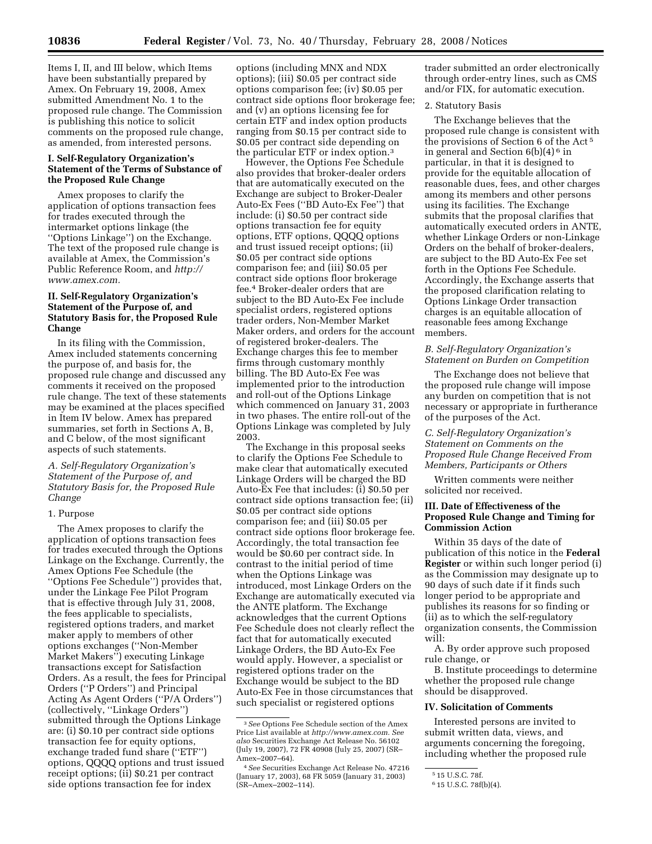Items I, II, and III below, which Items have been substantially prepared by Amex. On February 19, 2008, Amex submitted Amendment No. 1 to the proposed rule change. The Commission is publishing this notice to solicit comments on the proposed rule change, as amended, from interested persons.

### **I. Self-Regulatory Organization's Statement of the Terms of Substance of the Proposed Rule Change**

Amex proposes to clarify the application of options transaction fees for trades executed through the intermarket options linkage (the ''Options Linkage'') on the Exchange. The text of the proposed rule change is available at Amex, the Commission's Public Reference Room, and *http:// www.amex.com.* 

## **II. Self-Regulatory Organization's Statement of the Purpose of, and Statutory Basis for, the Proposed Rule Change**

In its filing with the Commission, Amex included statements concerning the purpose of, and basis for, the proposed rule change and discussed any comments it received on the proposed rule change. The text of these statements may be examined at the places specified in Item IV below. Amex has prepared summaries, set forth in Sections A, B, and C below, of the most significant aspects of such statements.

#### *A. Self-Regulatory Organization's Statement of the Purpose of, and Statutory Basis for, the Proposed Rule Change*

#### 1. Purpose

The Amex proposes to clarify the application of options transaction fees for trades executed through the Options Linkage on the Exchange. Currently, the Amex Options Fee Schedule (the ''Options Fee Schedule'') provides that, under the Linkage Fee Pilot Program that is effective through July 31, 2008, the fees applicable to specialists, registered options traders, and market maker apply to members of other options exchanges (''Non-Member Market Makers'') executing Linkage transactions except for Satisfaction Orders. As a result, the fees for Principal Orders (''P Orders'') and Principal Acting As Agent Orders (''P/A Orders'') (collectively, ''Linkage Orders'') submitted through the Options Linkage are: (i) \$0.10 per contract side options transaction fee for equity options, exchange traded fund share (''ETF'') options, QQQQ options and trust issued receipt options; (ii) \$0.21 per contract side options transaction fee for index

options (including MNX and NDX options); (iii) \$0.05 per contract side options comparison fee; (iv) \$0.05 per contract side options floor brokerage fee; and (v) an options licensing fee for certain ETF and index option products ranging from \$0.15 per contract side to \$0.05 per contract side depending on the particular ETF or index option.3

However, the Options Fee Schedule also provides that broker-dealer orders that are automatically executed on the Exchange are subject to Broker-Dealer Auto-Ex Fees (''BD Auto-Ex Fee'') that include: (i) \$0.50 per contract side options transaction fee for equity options, ETF options, QQQQ options and trust issued receipt options; (ii) \$0.05 per contract side options comparison fee; and (iii) \$0.05 per contract side options floor brokerage fee.4 Broker-dealer orders that are subject to the BD Auto-Ex Fee include specialist orders, registered options trader orders, Non-Member Market Maker orders, and orders for the account of registered broker-dealers. The Exchange charges this fee to member firms through customary monthly billing. The BD Auto-Ex Fee was implemented prior to the introduction and roll-out of the Options Linkage which commenced on January 31, 2003 in two phases. The entire roll-out of the Options Linkage was completed by July 2003.

The Exchange in this proposal seeks to clarify the Options Fee Schedule to make clear that automatically executed Linkage Orders will be charged the BD Auto-Ex Fee that includes: (i) \$0.50 per contract side options transaction fee; (ii) \$0.05 per contract side options comparison fee; and (iii) \$0.05 per contract side options floor brokerage fee. Accordingly, the total transaction fee would be \$0.60 per contract side. In contrast to the initial period of time when the Options Linkage was introduced, most Linkage Orders on the Exchange are automatically executed via the ANTE platform. The Exchange acknowledges that the current Options Fee Schedule does not clearly reflect the fact that for automatically executed Linkage Orders, the BD Auto-Ex Fee would apply. However, a specialist or registered options trader on the Exchange would be subject to the BD Auto-Ex Fee in those circumstances that such specialist or registered options

trader submitted an order electronically through order-entry lines, such as CMS and/or FIX, for automatic execution.

#### 2. Statutory Basis

The Exchange believes that the proposed rule change is consistent with the provisions of Section 6 of the Act 5 in general and Section  $6(b)(4)^6$  in particular, in that it is designed to provide for the equitable allocation of reasonable dues, fees, and other charges among its members and other persons using its facilities. The Exchange submits that the proposal clarifies that automatically executed orders in ANTE, whether Linkage Orders or non-Linkage Orders on the behalf of broker-dealers, are subject to the BD Auto-Ex Fee set forth in the Options Fee Schedule. Accordingly, the Exchange asserts that the proposed clarification relating to Options Linkage Order transaction charges is an equitable allocation of reasonable fees among Exchange members.

### *B. Self-Regulatory Organization's Statement on Burden on Competition*

The Exchange does not believe that the proposed rule change will impose any burden on competition that is not necessary or appropriate in furtherance of the purposes of the Act.

### *C. Self-Regulatory Organization's Statement on Comments on the Proposed Rule Change Received From Members, Participants or Others*

Written comments were neither solicited nor received.

### **III. Date of Effectiveness of the Proposed Rule Change and Timing for Commission Action**

Within 35 days of the date of publication of this notice in the **Federal Register** or within such longer period (i) as the Commission may designate up to 90 days of such date if it finds such longer period to be appropriate and publishes its reasons for so finding or (ii) as to which the self-regulatory organization consents, the Commission will:

A. By order approve such proposed rule change, or

B. Institute proceedings to determine whether the proposed rule change should be disapproved.

### **IV. Solicitation of Comments**

Interested persons are invited to submit written data, views, and arguments concerning the foregoing, including whether the proposed rule

<sup>3</sup>*See* Options Fee Schedule section of the Amex Price List available at *http://www.amex.com. See also* Securities Exchange Act Release No. 56102 (July 19, 2007), 72 FR 40908 (July 25, 2007) (SR– Amex–2007–64).

<sup>4</sup>*See* Securities Exchange Act Release No. 47216 (January 17, 2003), 68 FR 5059 (January 31, 2003) (SR–Amex–2002–114).

<sup>5</sup> 15 U.S.C. 78f.

<sup>6</sup> 15 U.S.C. 78f(b)(4).